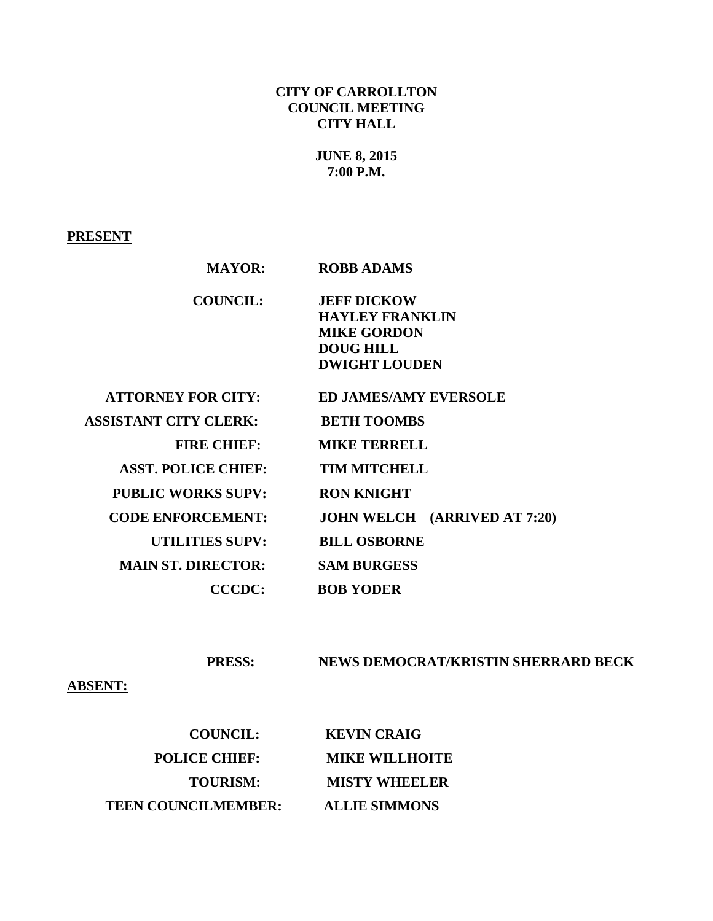## **CITY OF CARROLLTON COUNCIL MEETING CITY HALL**

# **JUNE 8, 2015 7:00 P.M.**

#### **PRESENT**

| <b>MAYOR:</b>                | <b>ROBB ADAMS</b>                   |
|------------------------------|-------------------------------------|
| <b>COUNCIL:</b>              | <b>JEFF DICKOW</b>                  |
|                              | <b>HAYLEY FRANKLIN</b>              |
|                              | <b>MIKE GORDON</b>                  |
|                              | <b>DOUG HILL</b>                    |
|                              | <b>DWIGHT LOUDEN</b>                |
| <b>ATTORNEY FOR CITY:</b>    | <b>ED JAMES/AMY EVERSOLE</b>        |
| <b>ASSISTANT CITY CLERK:</b> | <b>BETH TOOMBS</b>                  |
| <b>FIRE CHIEF:</b>           | <b>MIKE TERRELL</b>                 |
| <b>ASST. POLICE CHIEF:</b>   | <b>TIM MITCHELL</b>                 |
| <b>PUBLIC WORKS SUPV:</b>    | <b>RON KNIGHT</b>                   |
| <b>CODE ENFORCEMENT:</b>     | <b>JOHN WELCH (ARRIVED AT 7:20)</b> |
| <b>UTILITIES SUPV:</b>       | <b>BILL OSBORNE</b>                 |
| <b>MAIN ST. DIRECTOR:</b>    | <b>SAM BURGESS</b>                  |
| <b>CCCDC:</b>                | <b>BOB YODER</b>                    |

#### **PRESS: NEWS DEMOCRAT/KRISTIN SHERRARD BECK**

## **ABSENT:**

| <b>COUNCIL:</b>            | <b>KEVIN CRAIG</b>    |
|----------------------------|-----------------------|
| <b>POLICE CHIEF:</b>       | <b>MIKE WILLHOITE</b> |
| <b>TOURISM:</b>            | <b>MISTY WHEELER</b>  |
| <b>TEEN COUNCILMEMBER:</b> | <b>ALLIE SIMMONS</b>  |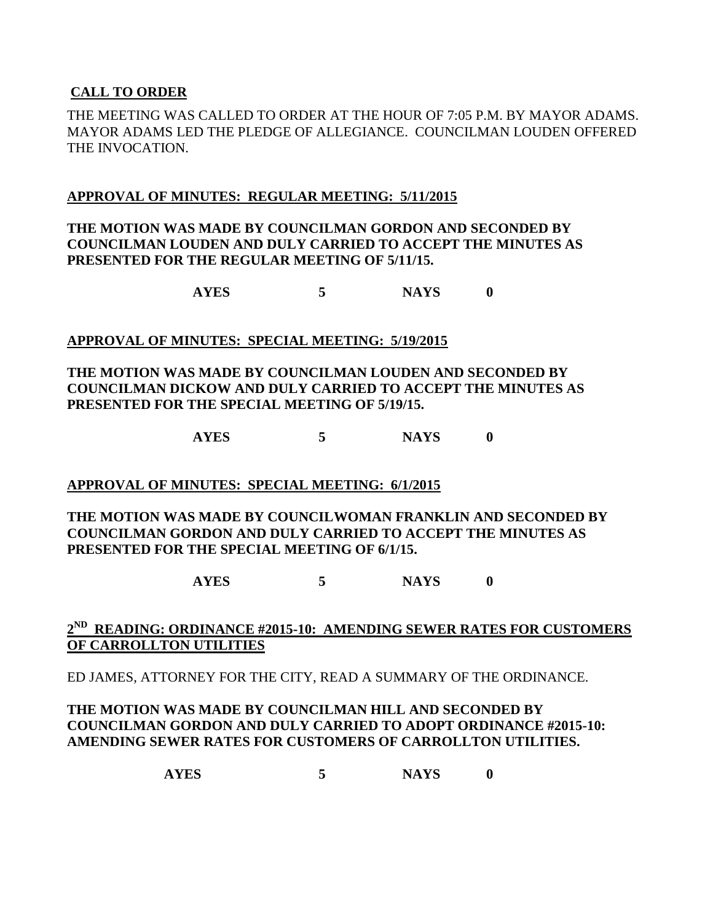## **CALL TO ORDER**

THE MEETING WAS CALLED TO ORDER AT THE HOUR OF 7:05 P.M. BY MAYOR ADAMS. MAYOR ADAMS LED THE PLEDGE OF ALLEGIANCE. COUNCILMAN LOUDEN OFFERED THE INVOCATION.

#### **APPROVAL OF MINUTES: REGULAR MEETING: 5/11/2015**

## **THE MOTION WAS MADE BY COUNCILMAN GORDON AND SECONDED BY COUNCILMAN LOUDEN AND DULY CARRIED TO ACCEPT THE MINUTES AS PRESENTED FOR THE REGULAR MEETING OF 5/11/15.**

**AYES 5 NAYS 0**

#### **APPROVAL OF MINUTES: SPECIAL MEETING: 5/19/2015**

## **THE MOTION WAS MADE BY COUNCILMAN LOUDEN AND SECONDED BY COUNCILMAN DICKOW AND DULY CARRIED TO ACCEPT THE MINUTES AS PRESENTED FOR THE SPECIAL MEETING OF 5/19/15.**

**AYES 5 NAYS 0**

## **APPROVAL OF MINUTES: SPECIAL MEETING: 6/1/2015**

#### **THE MOTION WAS MADE BY COUNCILWOMAN FRANKLIN AND SECONDED BY COUNCILMAN GORDON AND DULY CARRIED TO ACCEPT THE MINUTES AS PRESENTED FOR THE SPECIAL MEETING OF 6/1/15.**

**AYES 5 NAYS 0**

## **2 ND READING: ORDINANCE #2015-10: AMENDING SEWER RATES FOR CUSTOMERS OF CARROLLTON UTILITIES**

ED JAMES, ATTORNEY FOR THE CITY, READ A SUMMARY OF THE ORDINANCE.

## **THE MOTION WAS MADE BY COUNCILMAN HILL AND SECONDED BY COUNCILMAN GORDON AND DULY CARRIED TO ADOPT ORDINANCE #2015-10: AMENDING SEWER RATES FOR CUSTOMERS OF CARROLLTON UTILITIES.**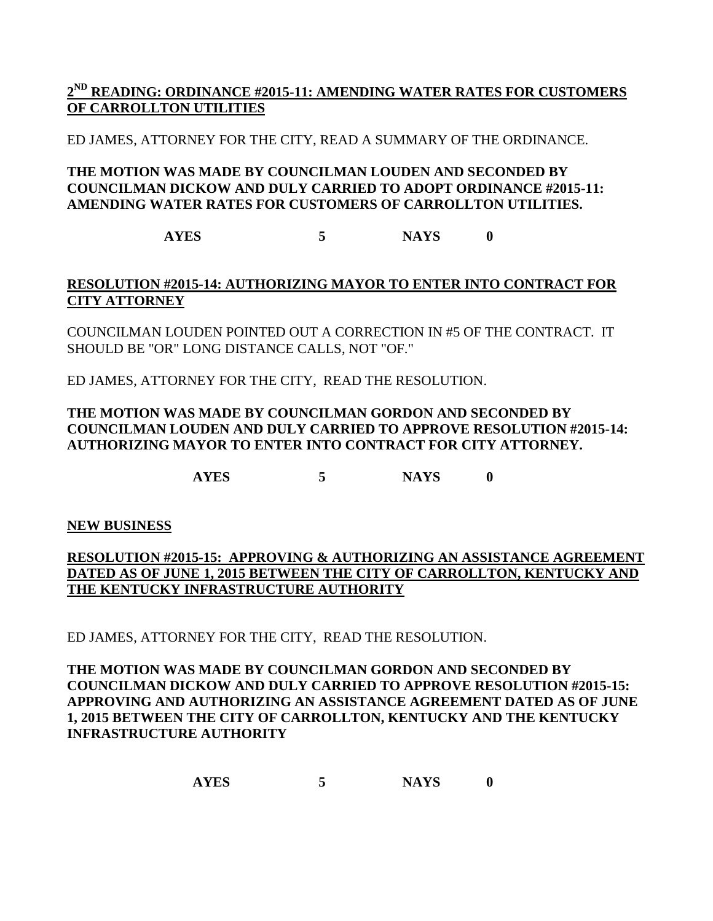## **2 ND READING: ORDINANCE #2015-11: AMENDING WATER RATES FOR CUSTOMERS OF CARROLLTON UTILITIES**

ED JAMES, ATTORNEY FOR THE CITY, READ A SUMMARY OF THE ORDINANCE.

## **THE MOTION WAS MADE BY COUNCILMAN LOUDEN AND SECONDED BY COUNCILMAN DICKOW AND DULY CARRIED TO ADOPT ORDINANCE #2015-11: AMENDING WATER RATES FOR CUSTOMERS OF CARROLLTON UTILITIES.**

**AYES 5 NAYS 0**

## **RESOLUTION #2015-14: AUTHORIZING MAYOR TO ENTER INTO CONTRACT FOR CITY ATTORNEY**

COUNCILMAN LOUDEN POINTED OUT A CORRECTION IN #5 OF THE CONTRACT. IT SHOULD BE "OR" LONG DISTANCE CALLS, NOT "OF."

ED JAMES, ATTORNEY FOR THE CITY, READ THE RESOLUTION.

## **THE MOTION WAS MADE BY COUNCILMAN GORDON AND SECONDED BY COUNCILMAN LOUDEN AND DULY CARRIED TO APPROVE RESOLUTION #2015-14: AUTHORIZING MAYOR TO ENTER INTO CONTRACT FOR CITY ATTORNEY.**

**AYES 5 NAYS 0** 

**NEW BUSINESS**

## **RESOLUTION #2015-15: APPROVING & AUTHORIZING AN ASSISTANCE AGREEMENT DATED AS OF JUNE 1, 2015 BETWEEN THE CITY OF CARROLLTON, KENTUCKY AND THE KENTUCKY INFRASTRUCTURE AUTHORITY**

ED JAMES, ATTORNEY FOR THE CITY, READ THE RESOLUTION.

## **THE MOTION WAS MADE BY COUNCILMAN GORDON AND SECONDED BY COUNCILMAN DICKOW AND DULY CARRIED TO APPROVE RESOLUTION #2015-15: APPROVING AND AUTHORIZING AN ASSISTANCE AGREEMENT DATED AS OF JUNE 1, 2015 BETWEEN THE CITY OF CARROLLTON, KENTUCKY AND THE KENTUCKY INFRASTRUCTURE AUTHORITY**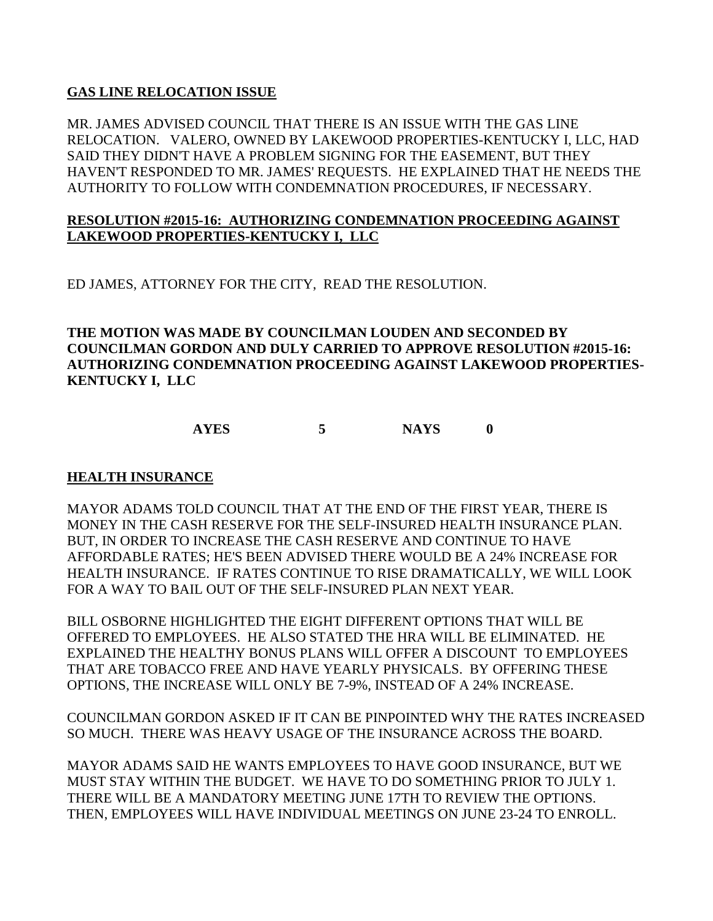#### **GAS LINE RELOCATION ISSUE**

MR. JAMES ADVISED COUNCIL THAT THERE IS AN ISSUE WITH THE GAS LINE RELOCATION. VALERO, OWNED BY LAKEWOOD PROPERTIES-KENTUCKY I, LLC, HAD SAID THEY DIDN'T HAVE A PROBLEM SIGNING FOR THE EASEMENT, BUT THEY HAVEN'T RESPONDED TO MR. JAMES' REQUESTS. HE EXPLAINED THAT HE NEEDS THE AUTHORITY TO FOLLOW WITH CONDEMNATION PROCEDURES, IF NECESSARY.

#### **RESOLUTION #2015-16: AUTHORIZING CONDEMNATION PROCEEDING AGAINST LAKEWOOD PROPERTIES-KENTUCKY I, LLC**

ED JAMES, ATTORNEY FOR THE CITY, READ THE RESOLUTION.

**THE MOTION WAS MADE BY COUNCILMAN LOUDEN AND SECONDED BY COUNCILMAN GORDON AND DULY CARRIED TO APPROVE RESOLUTION #2015-16: AUTHORIZING CONDEMNATION PROCEEDING AGAINST LAKEWOOD PROPERTIES-KENTUCKY I, LLC**

**AYES 5 NAYS 0** 

#### **HEALTH INSURANCE**

MAYOR ADAMS TOLD COUNCIL THAT AT THE END OF THE FIRST YEAR, THERE IS MONEY IN THE CASH RESERVE FOR THE SELF-INSURED HEALTH INSURANCE PLAN. BUT, IN ORDER TO INCREASE THE CASH RESERVE AND CONTINUE TO HAVE AFFORDABLE RATES; HE'S BEEN ADVISED THERE WOULD BE A 24% INCREASE FOR HEALTH INSURANCE. IF RATES CONTINUE TO RISE DRAMATICALLY, WE WILL LOOK FOR A WAY TO BAIL OUT OF THE SELF-INSURED PLAN NEXT YEAR.

BILL OSBORNE HIGHLIGHTED THE EIGHT DIFFERENT OPTIONS THAT WILL BE OFFERED TO EMPLOYEES. HE ALSO STATED THE HRA WILL BE ELIMINATED. HE EXPLAINED THE HEALTHY BONUS PLANS WILL OFFER A DISCOUNT TO EMPLOYEES THAT ARE TOBACCO FREE AND HAVE YEARLY PHYSICALS. BY OFFERING THESE OPTIONS, THE INCREASE WILL ONLY BE 7-9%, INSTEAD OF A 24% INCREASE.

COUNCILMAN GORDON ASKED IF IT CAN BE PINPOINTED WHY THE RATES INCREASED SO MUCH. THERE WAS HEAVY USAGE OF THE INSURANCE ACROSS THE BOARD.

MAYOR ADAMS SAID HE WANTS EMPLOYEES TO HAVE GOOD INSURANCE, BUT WE MUST STAY WITHIN THE BUDGET. WE HAVE TO DO SOMETHING PRIOR TO JULY 1. THERE WILL BE A MANDATORY MEETING JUNE 17TH TO REVIEW THE OPTIONS. THEN, EMPLOYEES WILL HAVE INDIVIDUAL MEETINGS ON JUNE 23-24 TO ENROLL.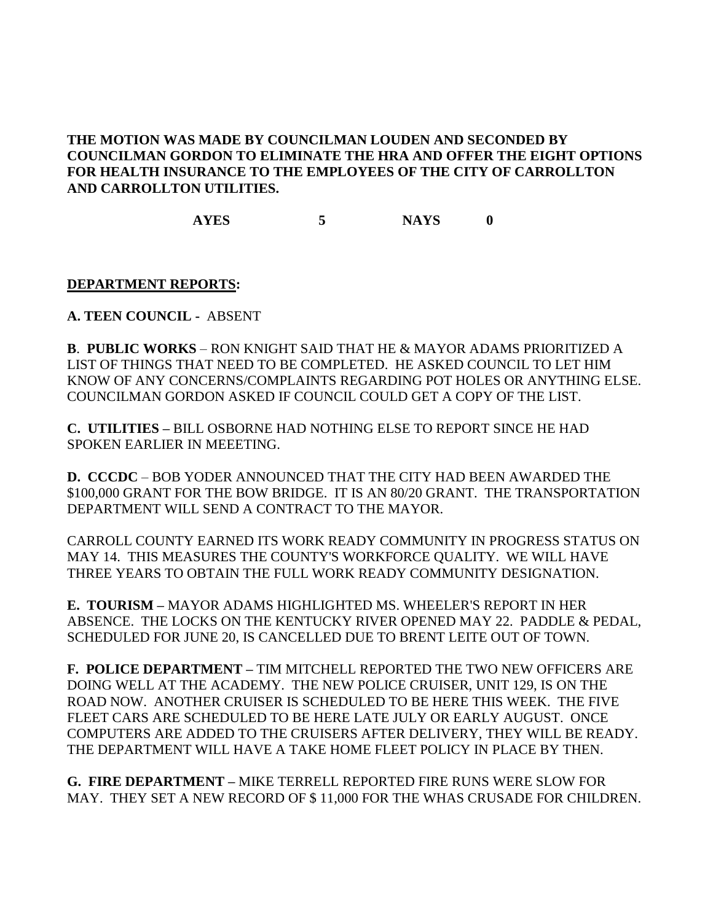## **THE MOTION WAS MADE BY COUNCILMAN LOUDEN AND SECONDED BY COUNCILMAN GORDON TO ELIMINATE THE HRA AND OFFER THE EIGHT OPTIONS FOR HEALTH INSURANCE TO THE EMPLOYEES OF THE CITY OF CARROLLTON AND CARROLLTON UTILITIES.**

**AYES 5 NAYS 0** 

#### **DEPARTMENT REPORTS:**

**A. TEEN COUNCIL -** ABSENT

**B**. **PUBLIC WORKS** – RON KNIGHT SAID THAT HE & MAYOR ADAMS PRIORITIZED A LIST OF THINGS THAT NEED TO BE COMPLETED. HE ASKED COUNCIL TO LET HIM KNOW OF ANY CONCERNS/COMPLAINTS REGARDING POT HOLES OR ANYTHING ELSE. COUNCILMAN GORDON ASKED IF COUNCIL COULD GET A COPY OF THE LIST.

**C. UTILITIES –** BILL OSBORNE HAD NOTHING ELSE TO REPORT SINCE HE HAD SPOKEN EARLIER IN MEEETING.

**D. CCCDC** – BOB YODER ANNOUNCED THAT THE CITY HAD BEEN AWARDED THE \$100,000 GRANT FOR THE BOW BRIDGE. IT IS AN 80/20 GRANT. THE TRANSPORTATION DEPARTMENT WILL SEND A CONTRACT TO THE MAYOR.

CARROLL COUNTY EARNED ITS WORK READY COMMUNITY IN PROGRESS STATUS ON MAY 14. THIS MEASURES THE COUNTY'S WORKFORCE QUALITY. WE WILL HAVE THREE YEARS TO OBTAIN THE FULL WORK READY COMMUNITY DESIGNATION.

**E. TOURISM –** MAYOR ADAMS HIGHLIGHTED MS. WHEELER'S REPORT IN HER ABSENCE. THE LOCKS ON THE KENTUCKY RIVER OPENED MAY 22. PADDLE & PEDAL, SCHEDULED FOR JUNE 20, IS CANCELLED DUE TO BRENT LEITE OUT OF TOWN.

**F. POLICE DEPARTMENT –** TIM MITCHELL REPORTED THE TWO NEW OFFICERS ARE DOING WELL AT THE ACADEMY. THE NEW POLICE CRUISER, UNIT 129, IS ON THE ROAD NOW. ANOTHER CRUISER IS SCHEDULED TO BE HERE THIS WEEK. THE FIVE FLEET CARS ARE SCHEDULED TO BE HERE LATE JULY OR EARLY AUGUST. ONCE COMPUTERS ARE ADDED TO THE CRUISERS AFTER DELIVERY, THEY WILL BE READY. THE DEPARTMENT WILL HAVE A TAKE HOME FLEET POLICY IN PLACE BY THEN.

**G. FIRE DEPARTMENT –** MIKE TERRELL REPORTED FIRE RUNS WERE SLOW FOR MAY. THEY SET A NEW RECORD OF \$ 11,000 FOR THE WHAS CRUSADE FOR CHILDREN.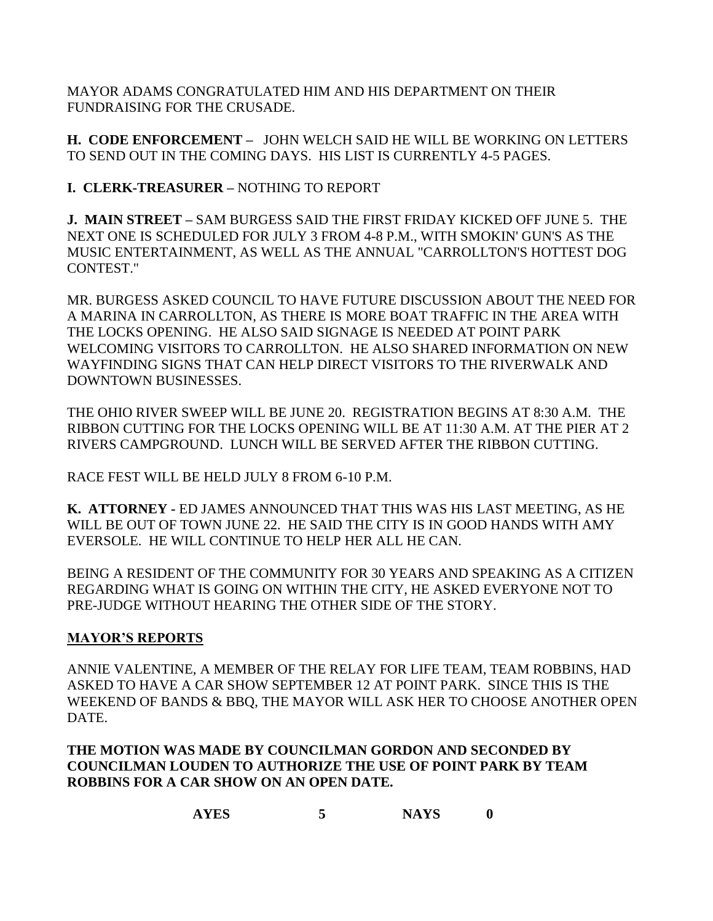MAYOR ADAMS CONGRATULATED HIM AND HIS DEPARTMENT ON THEIR FUNDRAISING FOR THE CRUSADE.

**H. CODE ENFORCEMENT –** JOHN WELCH SAID HE WILL BE WORKING ON LETTERS TO SEND OUT IN THE COMING DAYS. HIS LIST IS CURRENTLY 4-5 PAGES.

**I. CLERK-TREASURER –** NOTHING TO REPORT

**J. MAIN STREET –** SAM BURGESS SAID THE FIRST FRIDAY KICKED OFF JUNE 5. THE NEXT ONE IS SCHEDULED FOR JULY 3 FROM 4-8 P.M., WITH SMOKIN' GUN'S AS THE MUSIC ENTERTAINMENT, AS WELL AS THE ANNUAL "CARROLLTON'S HOTTEST DOG CONTEST."

MR. BURGESS ASKED COUNCIL TO HAVE FUTURE DISCUSSION ABOUT THE NEED FOR A MARINA IN CARROLLTON, AS THERE IS MORE BOAT TRAFFIC IN THE AREA WITH THE LOCKS OPENING. HE ALSO SAID SIGNAGE IS NEEDED AT POINT PARK WELCOMING VISITORS TO CARROLLTON. HE ALSO SHARED INFORMATION ON NEW WAYFINDING SIGNS THAT CAN HELP DIRECT VISITORS TO THE RIVERWALK AND DOWNTOWN BUSINESSES.

THE OHIO RIVER SWEEP WILL BE JUNE 20. REGISTRATION BEGINS AT 8:30 A.M. THE RIBBON CUTTING FOR THE LOCKS OPENING WILL BE AT 11:30 A.M. AT THE PIER AT 2 RIVERS CAMPGROUND. LUNCH WILL BE SERVED AFTER THE RIBBON CUTTING.

RACE FEST WILL BE HELD JULY 8 FROM 6-10 P.M.

**K. ATTORNEY -** ED JAMES ANNOUNCED THAT THIS WAS HIS LAST MEETING, AS HE WILL BE OUT OF TOWN JUNE 22. HE SAID THE CITY IS IN GOOD HANDS WITH AMY EVERSOLE. HE WILL CONTINUE TO HELP HER ALL HE CAN.

BEING A RESIDENT OF THE COMMUNITY FOR 30 YEARS AND SPEAKING AS A CITIZEN REGARDING WHAT IS GOING ON WITHIN THE CITY, HE ASKED EVERYONE NOT TO PRE-JUDGE WITHOUT HEARING THE OTHER SIDE OF THE STORY.

# **MAYOR'S REPORTS**

ANNIE VALENTINE, A MEMBER OF THE RELAY FOR LIFE TEAM, TEAM ROBBINS, HAD ASKED TO HAVE A CAR SHOW SEPTEMBER 12 AT POINT PARK. SINCE THIS IS THE WEEKEND OF BANDS & BBQ, THE MAYOR WILL ASK HER TO CHOOSE ANOTHER OPEN DATE.

**THE MOTION WAS MADE BY COUNCILMAN GORDON AND SECONDED BY COUNCILMAN LOUDEN TO AUTHORIZE THE USE OF POINT PARK BY TEAM ROBBINS FOR A CAR SHOW ON AN OPEN DATE.**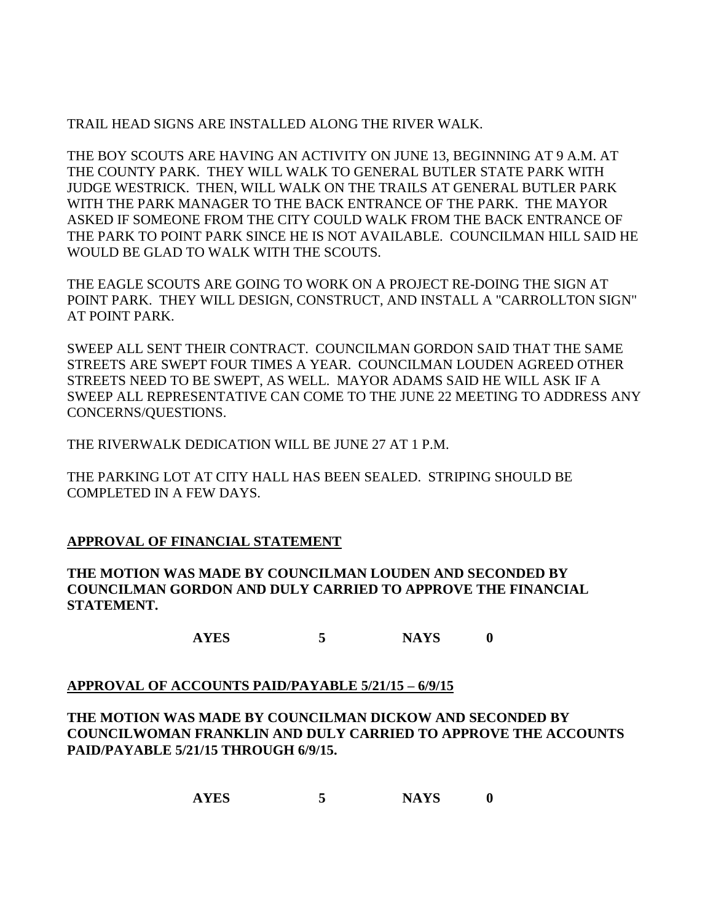## TRAIL HEAD SIGNS ARE INSTALLED ALONG THE RIVER WALK.

THE BOY SCOUTS ARE HAVING AN ACTIVITY ON JUNE 13, BEGINNING AT 9 A.M. AT THE COUNTY PARK. THEY WILL WALK TO GENERAL BUTLER STATE PARK WITH JUDGE WESTRICK. THEN, WILL WALK ON THE TRAILS AT GENERAL BUTLER PARK WITH THE PARK MANAGER TO THE BACK ENTRANCE OF THE PARK. THE MAYOR ASKED IF SOMEONE FROM THE CITY COULD WALK FROM THE BACK ENTRANCE OF THE PARK TO POINT PARK SINCE HE IS NOT AVAILABLE. COUNCILMAN HILL SAID HE WOULD BE GLAD TO WALK WITH THE SCOUTS.

THE EAGLE SCOUTS ARE GOING TO WORK ON A PROJECT RE-DOING THE SIGN AT POINT PARK. THEY WILL DESIGN, CONSTRUCT, AND INSTALL A "CARROLLTON SIGN" AT POINT PARK.

SWEEP ALL SENT THEIR CONTRACT. COUNCILMAN GORDON SAID THAT THE SAME STREETS ARE SWEPT FOUR TIMES A YEAR. COUNCILMAN LOUDEN AGREED OTHER STREETS NEED TO BE SWEPT, AS WELL. MAYOR ADAMS SAID HE WILL ASK IF A SWEEP ALL REPRESENTATIVE CAN COME TO THE JUNE 22 MEETING TO ADDRESS ANY CONCERNS/QUESTIONS.

THE RIVERWALK DEDICATION WILL BE JUNE 27 AT 1 P.M.

THE PARKING LOT AT CITY HALL HAS BEEN SEALED. STRIPING SHOULD BE COMPLETED IN A FEW DAYS.

## **APPROVAL OF FINANCIAL STATEMENT**

**THE MOTION WAS MADE BY COUNCILMAN LOUDEN AND SECONDED BY COUNCILMAN GORDON AND DULY CARRIED TO APPROVE THE FINANCIAL STATEMENT.**

**AYES 5 NAYS 0**

## **APPROVAL OF ACCOUNTS PAID/PAYABLE 5/21/15 – 6/9/15**

**THE MOTION WAS MADE BY COUNCILMAN DICKOW AND SECONDED BY COUNCILWOMAN FRANKLIN AND DULY CARRIED TO APPROVE THE ACCOUNTS PAID/PAYABLE 5/21/15 THROUGH 6/9/15.**